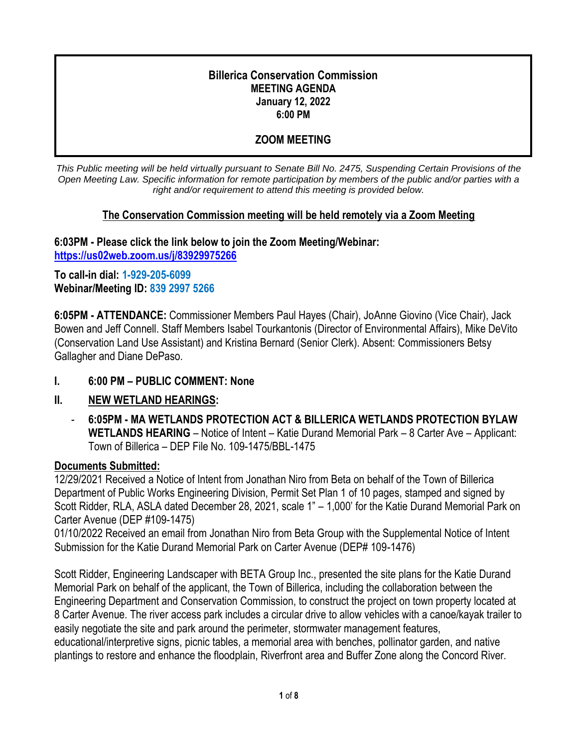#### **Billerica Conservation Commission MEETING AGENDA January 12, 2022 6:00 PM**

## **ZOOM MEETING**

*This Public meeting will be held virtually pursuant to Senate Bill No. 2475, Suspending Certain Provisions of the Open Meeting Law. Specific information for remote participation by members of the public and/or parties with a right and/or requirement to attend this meeting is provided below.*

#### **The Conservation Commission meeting will be held remotely via a Zoom Meeting**

**6:03PM - Please click the link below to join the Zoom Meeting/Webinar: <https://us02web.zoom.us/j/83929975266>**

**To call-in dial: 1-929-205-6099 Webinar/Meeting ID: 839 2997 5266**

**6:05PM - ATTENDANCE:** Commissioner Members Paul Hayes (Chair), JoAnne Giovino (Vice Chair), Jack Bowen and Jeff Connell. Staff Members Isabel Tourkantonis (Director of Environmental Affairs), Mike DeVito (Conservation Land Use Assistant) and Kristina Bernard (Senior Clerk). Absent: Commissioners Betsy Gallagher and Diane DePaso.

#### **I. 6:00 PM – PUBLIC COMMENT: None**

### **II. NEW WETLAND HEARINGS:**

- **6:05PM - MA WETLANDS PROTECTION ACT & BILLERICA WETLANDS PROTECTION BYLAW WETLANDS HEARING** – Notice of Intent – Katie Durand Memorial Park – 8 Carter Ave – Applicant: Town of Billerica – DEP File No. 109-1475/BBL-1475

#### **Documents Submitted:**

12/29/2021 Received a Notice of Intent from Jonathan Niro from Beta on behalf of the Town of Billerica Department of Public Works Engineering Division, Permit Set Plan 1 of 10 pages, stamped and signed by Scott Ridder, RLA, ASLA dated December 28, 2021, scale 1" – 1,000' for the Katie Durand Memorial Park on Carter Avenue (DEP #109-1475)

01/10/2022 Received an email from Jonathan Niro from Beta Group with the Supplemental Notice of Intent Submission for the Katie Durand Memorial Park on Carter Avenue (DEP# 109-1476)

Scott Ridder, Engineering Landscaper with BETA Group Inc., presented the site plans for the Katie Durand Memorial Park on behalf of the applicant, the Town of Billerica, including the collaboration between the Engineering Department and Conservation Commission, to construct the project on town property located at 8 Carter Avenue. The river access park includes a circular drive to allow vehicles with a canoe/kayak trailer to easily negotiate the site and park around the perimeter, stormwater management features, educational/interpretive signs, picnic tables, a memorial area with benches, pollinator garden, and native plantings to restore and enhance the floodplain, Riverfront area and Buffer Zone along the Concord River.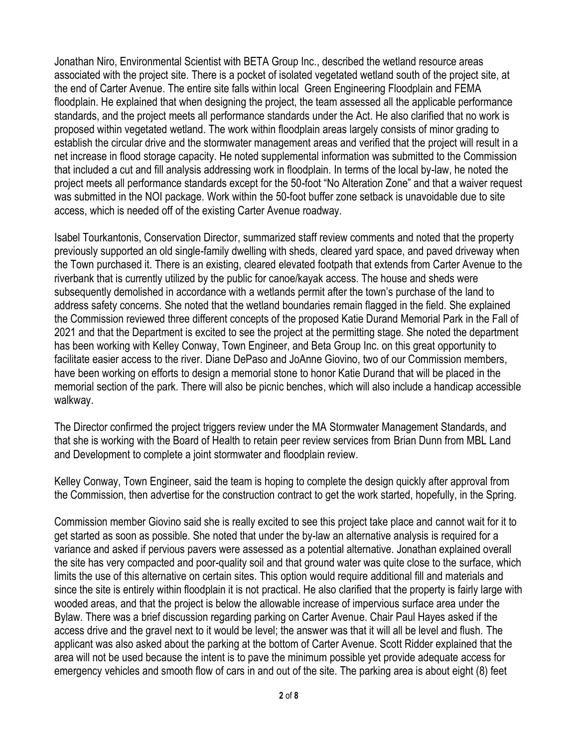Jonathan Niro, Environmental Scientist with BETA Group Inc., described the wetland resource areas associated with the project site. There is a pocket of isolated vegetated wetland south of the project site, at the end of Carter Avenue. The entire site falls within local Green Engineering Floodplain and FEMA floodplain. He explained that when designing the project, the team assessed all the applicable performance standards, and the project meets all performance standards under the Act. He also clarified that no work is proposed within vegetated wetland. The work within floodplain areas largely consists of minor grading to establish the circular drive and the stormwater management areas and verified that the project will result in a net increase in flood storage capacity. He noted supplemental information was submitted to the Commission that included a cut and fill analysis addressing work in floodplain. In terms of the local by-law, he noted the project meets all performance standards except for the 50-foot "No Alteration Zone" and that a waiver request was submitted in the NOI package. Work within the 50-foot buffer zone setback is unavoidable due to site access, which is needed off of the existing Carter Avenue roadway.

Isabel Tourkantonis, Conservation Director, summarized staff review comments and noted that the property previously supported an old single-family dwelling with sheds, cleared yard space, and paved driveway when the Town purchased it. There is an existing, cleared elevated footpath that extends from Carter Avenue to the riverbank that is currently utilized by the public for canoe/kayak access. The house and sheds were subsequently demolished in accordance with a wetlands permit after the town's purchase of the land to address safety concerns. She noted that the wetland boundaries remain flagged in the field. She explained the Commission reviewed three different concepts of the proposed Katie Durand Memorial Park in the Fall of 2021 and that the Department is excited to see the project at the permitting stage. She noted the department has been working with Kelley Conway, Town Engineer, and Beta Group Inc. on this great opportunity to facilitate easier access to the river. Diane DePaso and JoAnne Giovino, two of our Commission members, have been working on efforts to design a memorial stone to honor Katie Durand that will be placed in the memorial section of the park. There will also be picnic benches, which will also include a handicap accessible walkway.

The Director confirmed the project triggers review under the MA Stormwater Management Standards, and that she is working with the Board of Health to retain peer review services from Brian Dunn from MBL Land and Development to complete a joint stormwater and floodplain review.

Kelley Conway, Town Engineer, said the team is hoping to complete the design quickly after approval from the Commission, then advertise for the construction contract to get the work started, hopefully, in the Spring.

Commission member Giovino said she is really excited to see this project take place and cannot wait for it to get started as soon as possible. She noted that under the by-law an alternative analysis is required for a variance and asked if pervious pavers were assessed as a potential alternative. Jonathan explained overall the site has very compacted and poor-quality soil and that ground water was quite close to the surface, which limits the use of this alternative on certain sites. This option would require additional fill and materials and since the site is entirely within floodplain it is not practical. He also clarified that the property is fairly large with wooded areas, and that the project is below the allowable increase of impervious surface area under the Bylaw. There was a brief discussion regarding parking on Carter Avenue. Chair Paul Hayes asked if the access drive and the gravel next to it would be level; the answer was that it will all be level and flush. The applicant was also asked about the parking at the bottom of Carter Avenue. Scott Ridder explained that the area will not be used because the intent is to pave the minimum possible yet provide adequate access for emergency vehicles and smooth flow of cars in and out of the site. The parking area is about eight (8) feet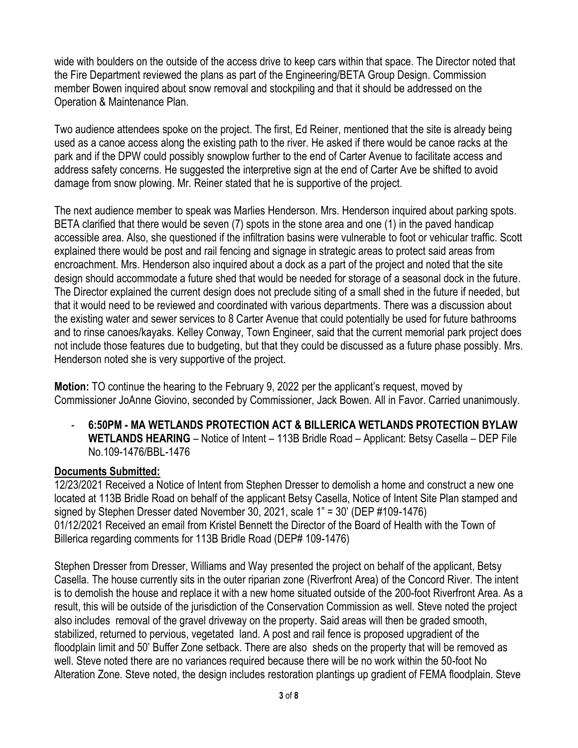wide with boulders on the outside of the access drive to keep cars within that space. The Director noted that the Fire Department reviewed the plans as part of the Engineering/BETA Group Design. Commission member Bowen inquired about snow removal and stockpiling and that it should be addressed on the Operation & Maintenance Plan.

Two audience attendees spoke on the project. The first, Ed Reiner, mentioned that the site is already being used as a canoe access along the existing path to the river. He asked if there would be canoe racks at the park and if the DPW could possibly snowplow further to the end of Carter Avenue to facilitate access and address safety concerns. He suggested the interpretive sign at the end of Carter Ave be shifted to avoid damage from snow plowing. Mr. Reiner stated that he is supportive of the project.

The next audience member to speak was Marlies Henderson. Mrs. Henderson inquired about parking spots. BETA clarified that there would be seven (7) spots in the stone area and one (1) in the paved handicap accessible area. Also, she questioned if the infiltration basins were vulnerable to foot or vehicular traffic. Scott explained there would be post and rail fencing and signage in strategic areas to protect said areas from encroachment. Mrs. Henderson also inquired about a dock as a part of the project and noted that the site design should accommodate a future shed that would be needed for storage of a seasonal dock in the future. The Director explained the current design does not preclude siting of a small shed in the future if needed, but that it would need to be reviewed and coordinated with various departments. There was a discussion about the existing water and sewer services to 8 Carter Avenue that could potentially be used for future bathrooms and to rinse canoes/kayaks. Kelley Conway, Town Engineer, said that the current memorial park project does not include those features due to budgeting, but that they could be discussed as a future phase possibly. Mrs. Henderson noted she is very supportive of the project.

**Motion:** TO continue the hearing to the February 9, 2022 per the applicant's request, moved by Commissioner JoAnne Giovino, seconded by Commissioner, Jack Bowen. All in Favor. Carried unanimously.

- **6:50PM - MA WETLANDS PROTECTION ACT & BILLERICA WETLANDS PROTECTION BYLAW WETLANDS HEARING** – Notice of Intent – 113B Bridle Road – Applicant: Betsy Casella – DEP File No.109-1476/BBL-1476

#### **Documents Submitted:**

12/23/2021 Received a Notice of Intent from Stephen Dresser to demolish a home and construct a new one located at 113B Bridle Road on behalf of the applicant Betsy Casella, Notice of Intent Site Plan stamped and signed by Stephen Dresser dated November 30, 2021, scale 1" = 30' (DEP #109-1476) 01/12/2021 Received an email from Kristel Bennett the Director of the Board of Health with the Town of Billerica regarding comments for 113B Bridle Road (DEP# 109-1476)

Stephen Dresser from Dresser, Williams and Way presented the project on behalf of the applicant, Betsy Casella. The house currently sits in the outer riparian zone (Riverfront Area) of the Concord River. The intent is to demolish the house and replace it with a new home situated outside of the 200-foot Riverfront Area. As a result, this will be outside of the jurisdiction of the Conservation Commission as well. Steve noted the project also includes removal of the gravel driveway on the property. Said areas will then be graded smooth, stabilized, returned to pervious, vegetated land. A post and rail fence is proposed upgradient of the floodplain limit and 50' Buffer Zone setback. There are also sheds on the property that will be removed as well. Steve noted there are no variances required because there will be no work within the 50-foot No Alteration Zone. Steve noted, the design includes restoration plantings up gradient of FEMA floodplain. Steve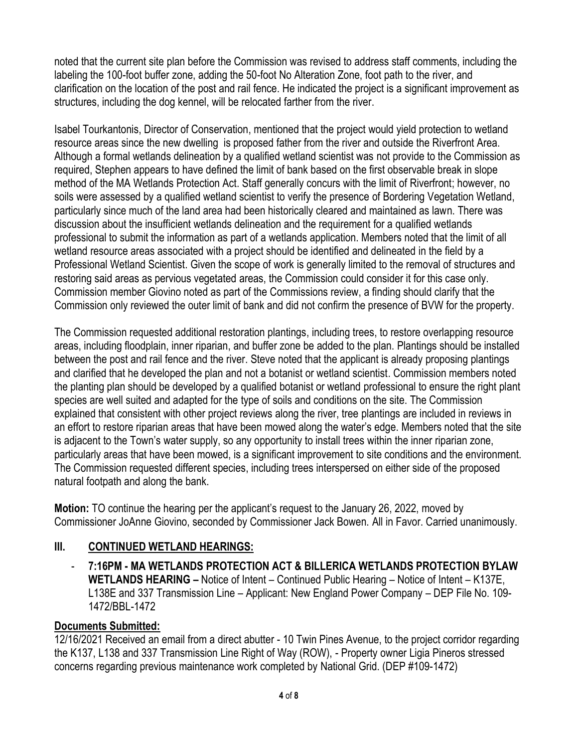noted that the current site plan before the Commission was revised to address staff comments, including the labeling the 100-foot buffer zone, adding the 50-foot No Alteration Zone, foot path to the river, and clarification on the location of the post and rail fence. He indicated the project is a significant improvement as structures, including the dog kennel, will be relocated farther from the river.

Isabel Tourkantonis, Director of Conservation, mentioned that the project would yield protection to wetland resource areas since the new dwelling is proposed father from the river and outside the Riverfront Area. Although a formal wetlands delineation by a qualified wetland scientist was not provide to the Commission as required, Stephen appears to have defined the limit of bank based on the first observable break in slope method of the MA Wetlands Protection Act. Staff generally concurs with the limit of Riverfront; however, no soils were assessed by a qualified wetland scientist to verify the presence of Bordering Vegetation Wetland, particularly since much of the land area had been historically cleared and maintained as lawn. There was discussion about the insufficient wetlands delineation and the requirement for a qualified wetlands professional to submit the information as part of a wetlands application. Members noted that the limit of all wetland resource areas associated with a project should be identified and delineated in the field by a Professional Wetland Scientist. Given the scope of work is generally limited to the removal of structures and restoring said areas as pervious vegetated areas, the Commission could consider it for this case only. Commission member Giovino noted as part of the Commissions review, a finding should clarify that the Commission only reviewed the outer limit of bank and did not confirm the presence of BVW for the property.

The Commission requested additional restoration plantings, including trees, to restore overlapping resource areas, including floodplain, inner riparian, and buffer zone be added to the plan. Plantings should be installed between the post and rail fence and the river. Steve noted that the applicant is already proposing plantings and clarified that he developed the plan and not a botanist or wetland scientist. Commission members noted the planting plan should be developed by a qualified botanist or wetland professional to ensure the right plant species are well suited and adapted for the type of soils and conditions on the site. The Commission explained that consistent with other project reviews along the river, tree plantings are included in reviews in an effort to restore riparian areas that have been mowed along the water's edge. Members noted that the site is adjacent to the Town's water supply, so any opportunity to install trees within the inner riparian zone, particularly areas that have been mowed, is a significant improvement to site conditions and the environment. The Commission requested different species, including trees interspersed on either side of the proposed natural footpath and along the bank.

**Motion:** TO continue the hearing per the applicant's request to the January 26, 2022, moved by Commissioner JoAnne Giovino, seconded by Commissioner Jack Bowen. All in Favor. Carried unanimously.

### **III. CONTINUED WETLAND HEARINGS:**

- **7:16PM - MA WETLANDS PROTECTION ACT & BILLERICA WETLANDS PROTECTION BYLAW WETLANDS HEARING –** Notice of Intent – Continued Public Hearing – Notice of Intent – K137E, L138E and 337 Transmission Line – Applicant: New England Power Company – DEP File No. 109- 1472/BBL-1472

### **Documents Submitted:**

12/16/2021 Received an email from a direct abutter - 10 Twin Pines Avenue, to the project corridor regarding the K137, L138 and 337 Transmission Line Right of Way (ROW), - Property owner Ligia Pineros stressed concerns regarding previous maintenance work completed by National Grid. (DEP #109-1472)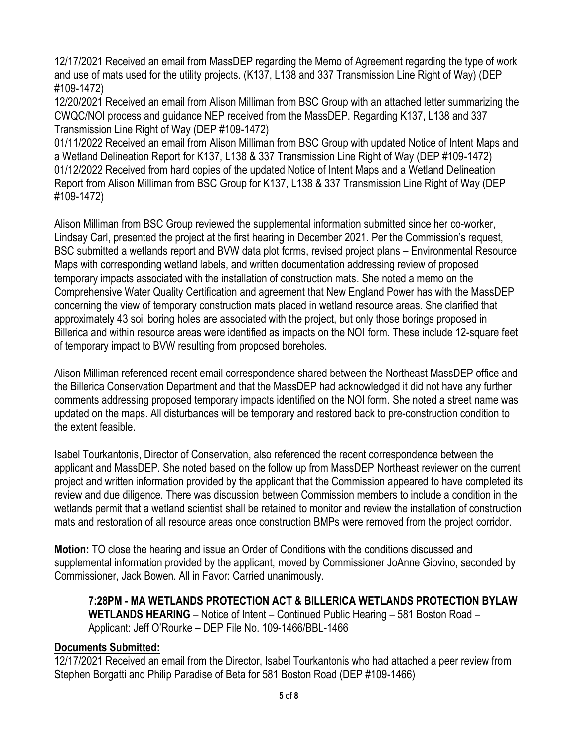12/17/2021 Received an email from MassDEP regarding the Memo of Agreement regarding the type of work and use of mats used for the utility projects. (K137, L138 and 337 Transmission Line Right of Way) (DEP #109-1472)

12/20/2021 Received an email from Alison Milliman from BSC Group with an attached letter summarizing the CWQC/NOI process and guidance NEP received from the MassDEP. Regarding K137, L138 and 337 Transmission Line Right of Way (DEP #109-1472)

01/11/2022 Received an email from Alison Milliman from BSC Group with updated Notice of Intent Maps and a Wetland Delineation Report for K137, L138 & 337 Transmission Line Right of Way (DEP #109-1472) 01/12/2022 Received from hard copies of the updated Notice of Intent Maps and a Wetland Delineation Report from Alison Milliman from BSC Group for K137, L138 & 337 Transmission Line Right of Way (DEP #109-1472)

Alison Milliman from BSC Group reviewed the supplemental information submitted since her co-worker, Lindsay Carl, presented the project at the first hearing in December 2021. Per the Commission's request, BSC submitted a wetlands report and BVW data plot forms, revised project plans – Environmental Resource Maps with corresponding wetland labels, and written documentation addressing review of proposed temporary impacts associated with the installation of construction mats. She noted a memo on the Comprehensive Water Quality Certification and agreement that New England Power has with the MassDEP concerning the view of temporary construction mats placed in wetland resource areas. She clarified that approximately 43 soil boring holes are associated with the project, but only those borings proposed in Billerica and within resource areas were identified as impacts on the NOI form. These include 12-square feet of temporary impact to BVW resulting from proposed boreholes.

Alison Milliman referenced recent email correspondence shared between the Northeast MassDEP office and the Billerica Conservation Department and that the MassDEP had acknowledged it did not have any further comments addressing proposed temporary impacts identified on the NOI form. She noted a street name was updated on the maps. All disturbances will be temporary and restored back to pre-construction condition to the extent feasible.

Isabel Tourkantonis, Director of Conservation, also referenced the recent correspondence between the applicant and MassDEP. She noted based on the follow up from MassDEP Northeast reviewer on the current project and written information provided by the applicant that the Commission appeared to have completed its review and due diligence. There was discussion between Commission members to include a condition in the wetlands permit that a wetland scientist shall be retained to monitor and review the installation of construction mats and restoration of all resource areas once construction BMPs were removed from the project corridor.

**Motion:** TO close the hearing and issue an Order of Conditions with the conditions discussed and supplemental information provided by the applicant, moved by Commissioner JoAnne Giovino, seconded by Commissioner, Jack Bowen. All in Favor: Carried unanimously.

**7:28PM - MA WETLANDS PROTECTION ACT & BILLERICA WETLANDS PROTECTION BYLAW WETLANDS HEARING** – Notice of Intent – Continued Public Hearing – 581 Boston Road – Applicant: Jeff O'Rourke – DEP File No. 109-1466/BBL-1466

#### **Documents Submitted:**

12/17/2021 Received an email from the Director, Isabel Tourkantonis who had attached a peer review from Stephen Borgatti and Philip Paradise of Beta for 581 Boston Road (DEP #109-1466)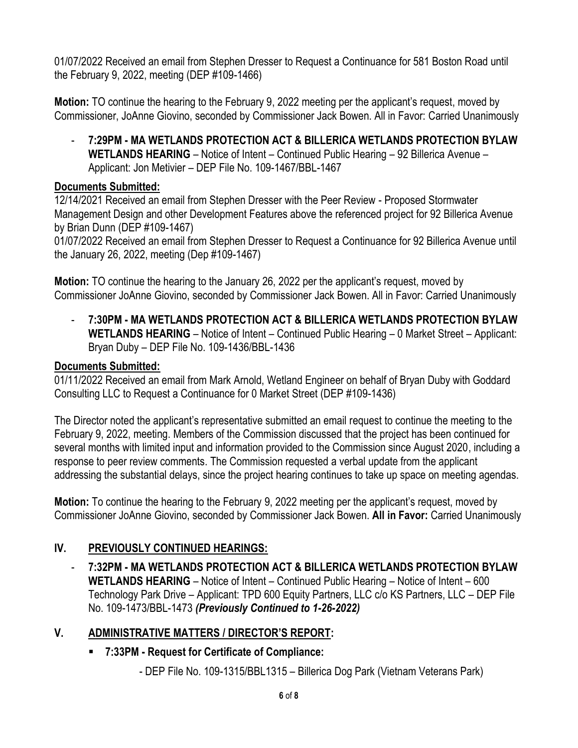01/07/2022 Received an email from Stephen Dresser to Request a Continuance for 581 Boston Road until the February 9, 2022, meeting (DEP #109-1466)

**Motion:** TO continue the hearing to the February 9, 2022 meeting per the applicant's request, moved by Commissioner, JoAnne Giovino, seconded by Commissioner Jack Bowen. All in Favor: Carried Unanimously

- **7:29PM - MA WETLANDS PROTECTION ACT & BILLERICA WETLANDS PROTECTION BYLAW WETLANDS HEARING** – Notice of Intent – Continued Public Hearing – 92 Billerica Avenue – Applicant: Jon Metivier – DEP File No. 109-1467/BBL-1467

#### **Documents Submitted:**

12/14/2021 Received an email from Stephen Dresser with the Peer Review - Proposed Stormwater Management Design and other Development Features above the referenced project for 92 Billerica Avenue by Brian Dunn (DEP #109-1467)

01/07/2022 Received an email from Stephen Dresser to Request a Continuance for 92 Billerica Avenue until the January 26, 2022, meeting (Dep #109-1467)

**Motion:** TO continue the hearing to the January 26, 2022 per the applicant's request, moved by Commissioner JoAnne Giovino, seconded by Commissioner Jack Bowen. All in Favor: Carried Unanimously

- **7:30PM - MA WETLANDS PROTECTION ACT & BILLERICA WETLANDS PROTECTION BYLAW WETLANDS HEARING** – Notice of Intent – Continued Public Hearing – 0 Market Street – Applicant: Bryan Duby – DEP File No. 109-1436/BBL-1436

### **Documents Submitted:**

01/11/2022 Received an email from Mark Arnold, Wetland Engineer on behalf of Bryan Duby with Goddard Consulting LLC to Request a Continuance for 0 Market Street (DEP #109-1436)

The Director noted the applicant's representative submitted an email request to continue the meeting to the February 9, 2022, meeting. Members of the Commission discussed that the project has been continued for several months with limited input and information provided to the Commission since August 2020, including a response to peer review comments. The Commission requested a verbal update from the applicant addressing the substantial delays, since the project hearing continues to take up space on meeting agendas.

**Motion:** To continue the hearing to the February 9, 2022 meeting per the applicant's request, moved by Commissioner JoAnne Giovino, seconded by Commissioner Jack Bowen. **All in Favor:** Carried Unanimously

# **IV. PREVIOUSLY CONTINUED HEARINGS:**

- **7:32PM - MA WETLANDS PROTECTION ACT & BILLERICA WETLANDS PROTECTION BYLAW WETLANDS HEARING** – Notice of Intent – Continued Public Hearing – Notice of Intent – 600 Technology Park Drive – Applicant: TPD 600 Equity Partners, LLC c/o KS Partners, LLC – DEP File No. 109-1473/BBL-1473 *(Previously Continued to 1-26-2022)*

### **V. ADMINISTRATIVE MATTERS / DIRECTOR'S REPORT:**

- **7:33PM - Request for Certificate of Compliance:**
	- DEP File No. 109-1315/BBL1315 Billerica Dog Park (Vietnam Veterans Park)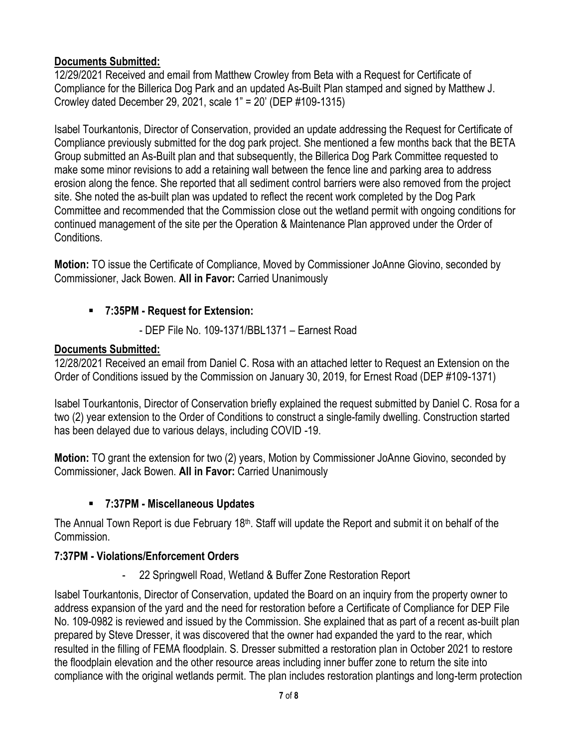## **Documents Submitted:**

12/29/2021 Received and email from Matthew Crowley from Beta with a Request for Certificate of Compliance for the Billerica Dog Park and an updated As-Built Plan stamped and signed by Matthew J. Crowley dated December 29, 2021, scale 1" = 20' (DEP #109-1315)

Isabel Tourkantonis, Director of Conservation, provided an update addressing the Request for Certificate of Compliance previously submitted for the dog park project. She mentioned a few months back that the BETA Group submitted an As-Built plan and that subsequently, the Billerica Dog Park Committee requested to make some minor revisions to add a retaining wall between the fence line and parking area to address erosion along the fence. She reported that all sediment control barriers were also removed from the project site. She noted the as-built plan was updated to reflect the recent work completed by the Dog Park Committee and recommended that the Commission close out the wetland permit with ongoing conditions for continued management of the site per the Operation & Maintenance Plan approved under the Order of Conditions.

**Motion:** TO issue the Certificate of Compliance, Moved by Commissioner JoAnne Giovino, seconded by Commissioner, Jack Bowen. **All in Favor:** Carried Unanimously

# ▪ **7:35PM - Request for Extension:**

- DEP File No. 109-1371/BBL1371 – Earnest Road

# **Documents Submitted:**

12/28/2021 Received an email from Daniel C. Rosa with an attached letter to Request an Extension on the Order of Conditions issued by the Commission on January 30, 2019, for Ernest Road (DEP #109-1371)

Isabel Tourkantonis, Director of Conservation briefly explained the request submitted by Daniel C. Rosa for a two (2) year extension to the Order of Conditions to construct a single-family dwelling. Construction started has been delayed due to various delays, including COVID -19.

**Motion:** TO grant the extension for two (2) years, Motion by Commissioner JoAnne Giovino, seconded by Commissioner, Jack Bowen. **All in Favor:** Carried Unanimously

### ▪ **7:37PM - Miscellaneous Updates**

The Annual Town Report is due February  $18<sup>th</sup>$ . Staff will update the Report and submit it on behalf of the Commission.

# **7:37PM - Violations/Enforcement Orders**

22 Springwell Road, Wetland & Buffer Zone Restoration Report

Isabel Tourkantonis, Director of Conservation, updated the Board on an inquiry from the property owner to address expansion of the yard and the need for restoration before a Certificate of Compliance for DEP File No. 109-0982 is reviewed and issued by the Commission. She explained that as part of a recent as-built plan prepared by Steve Dresser, it was discovered that the owner had expanded the yard to the rear, which resulted in the filling of FEMA floodplain. S. Dresser submitted a restoration plan in October 2021 to restore the floodplain elevation and the other resource areas including inner buffer zone to return the site into compliance with the original wetlands permit. The plan includes restoration plantings and long-term protection